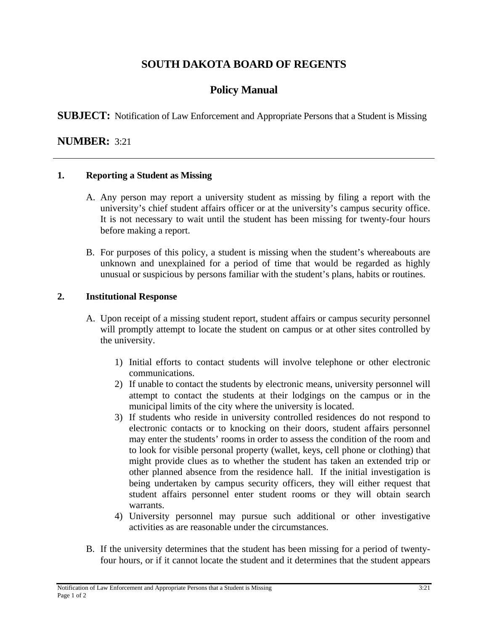# **SOUTH DAKOTA BOARD OF REGENTS**

# **Policy Manual**

**SUBJECT:** Notification of Law Enforcement and Appropriate Persons that a Student is Missing

### **NUMBER:** 3:21

#### **1. Reporting a Student as Missing**

- A. Any person may report a university student as missing by filing a report with the university's chief student affairs officer or at the university's campus security office. It is not necessary to wait until the student has been missing for twenty-four hours before making a report.
- B. For purposes of this policy, a student is missing when the student's whereabouts are unknown and unexplained for a period of time that would be regarded as highly unusual or suspicious by persons familiar with the student's plans, habits or routines.

#### **2. Institutional Response**

- A. Upon receipt of a missing student report, student affairs or campus security personnel will promptly attempt to locate the student on campus or at other sites controlled by the university.
	- 1) Initial efforts to contact students will involve telephone or other electronic communications.
	- 2) If unable to contact the students by electronic means, university personnel will attempt to contact the students at their lodgings on the campus or in the municipal limits of the city where the university is located.
	- 3) If students who reside in university controlled residences do not respond to electronic contacts or to knocking on their doors, student affairs personnel may enter the students' rooms in order to assess the condition of the room and to look for visible personal property (wallet, keys, cell phone or clothing) that might provide clues as to whether the student has taken an extended trip or other planned absence from the residence hall. If the initial investigation is being undertaken by campus security officers, they will either request that student affairs personnel enter student rooms or they will obtain search warrants.
	- 4) University personnel may pursue such additional or other investigative activities as are reasonable under the circumstances.
- B. If the university determines that the student has been missing for a period of twentyfour hours, or if it cannot locate the student and it determines that the student appears